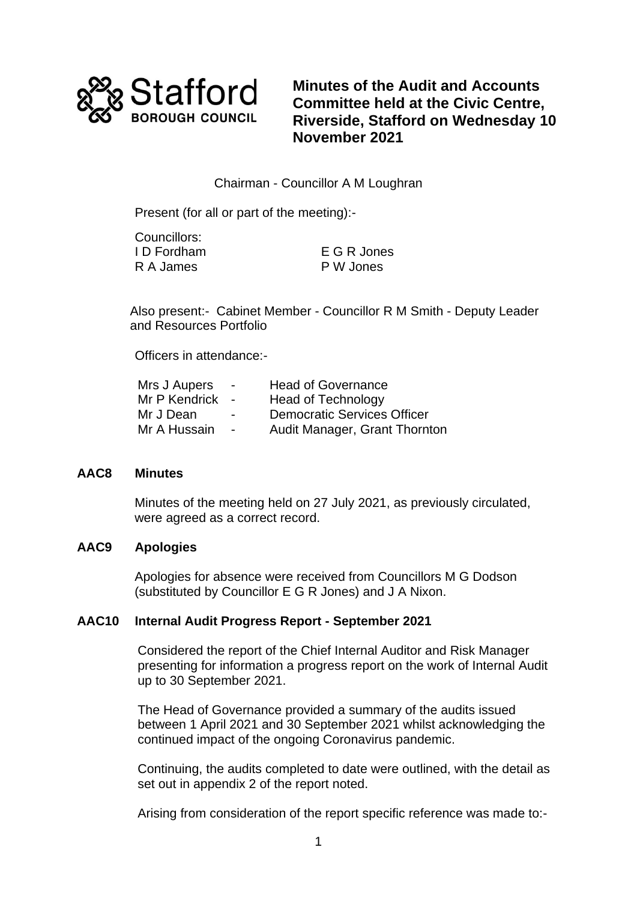

**Minutes of the Audit and Accounts Committee held at the Civic Centre, Riverside, Stafford on Wednesday 10 November 2021**

# Chairman - Councillor A M Loughran

Present (for all or part of the meeting):-

| Councillors: |             |
|--------------|-------------|
| I D Fordham  | E G R Jones |
| R A James    | P W Jones   |

Also present:- Cabinet Member - Councillor R M Smith - Deputy Leader and Resources Portfolio

Officers in attendance:-

| Mrs J Aupers  | $\sim$                   | <b>Head of Governance</b>          |
|---------------|--------------------------|------------------------------------|
| Mr P Kendrick | $\sim$                   | Head of Technology                 |
| Mr J Dean     | $\overline{\phantom{0}}$ | <b>Democratic Services Officer</b> |
| Mr A Hussain  | $\sim$                   | Audit Manager, Grant Thornton      |

## **AAC8 Minutes**

Minutes of the meeting held on 27 July 2021, as previously circulated, were agreed as a correct record.

#### **AAC9 Apologies**

Apologies for absence were received from Councillors M G Dodson (substituted by Councillor E G R Jones) and J A Nixon.

#### **AAC10 Internal Audit Progress Report - September 2021**

Considered the report of the Chief Internal Auditor and Risk Manager presenting for information a progress report on the work of Internal Audit up to 30 September 2021.

The Head of Governance provided a summary of the audits issued between 1 April 2021 and 30 September 2021 whilst acknowledging the continued impact of the ongoing Coronavirus pandemic.

Continuing, the audits completed to date were outlined, with the detail as set out in appendix 2 of the report noted.

Arising from consideration of the report specific reference was made to:-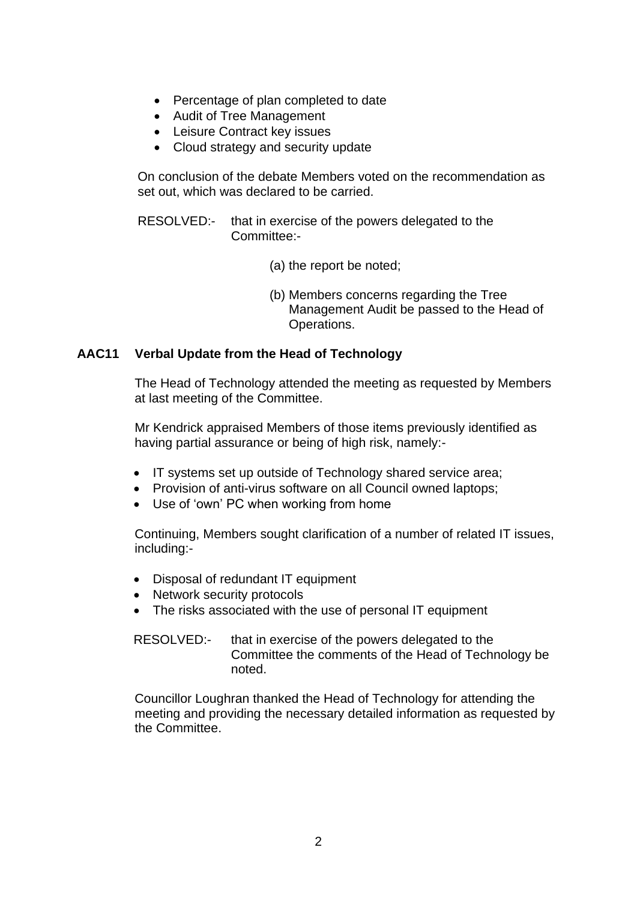- Percentage of plan completed to date
- Audit of Tree Management
- Leisure Contract key issues
- Cloud strategy and security update

On conclusion of the debate Members voted on the recommendation as set out, which was declared to be carried.

- RESOLVED:- that in exercise of the powers delegated to the Committee:-
	- (a) the report be noted;
	- (b) Members concerns regarding the Tree Management Audit be passed to the Head of Operations.

# **AAC11 Verbal Update from the Head of Technology**

The Head of Technology attended the meeting as requested by Members at last meeting of the Committee.

Mr Kendrick appraised Members of those items previously identified as having partial assurance or being of high risk, namely:-

- IT systems set up outside of Technology shared service area;
- Provision of anti-virus software on all Council owned laptops;
- Use of 'own' PC when working from home

Continuing, Members sought clarification of a number of related IT issues, including:-

- Disposal of redundant IT equipment
- Network security protocols
- The risks associated with the use of personal IT equipment

RESOLVED:- that in exercise of the powers delegated to the Committee the comments of the Head of Technology be noted.

Councillor Loughran thanked the Head of Technology for attending the meeting and providing the necessary detailed information as requested by the Committee.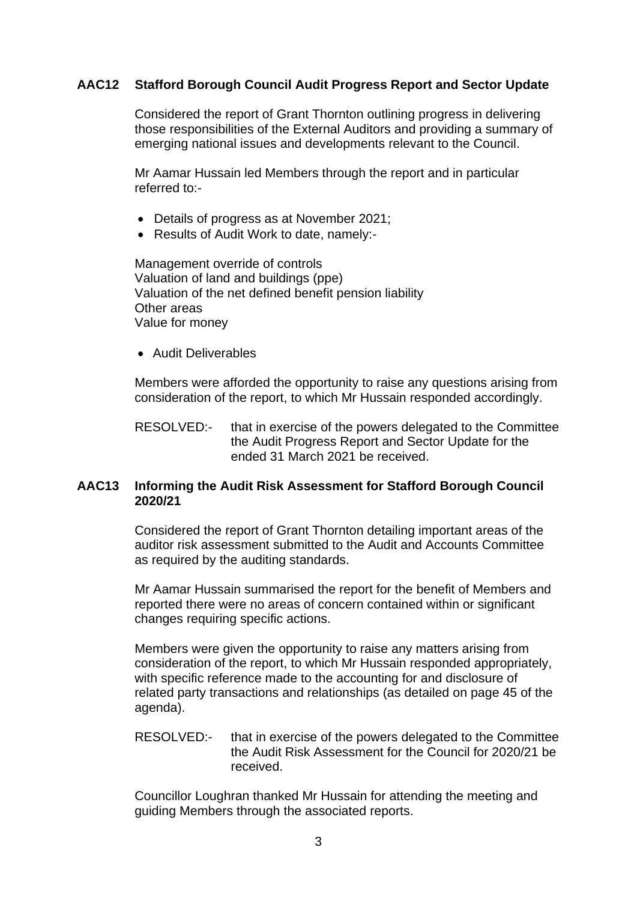# **AAC12 Stafford Borough Council Audit Progress Report and Sector Update**

Considered the report of Grant Thornton outlining progress in delivering those responsibilities of the External Auditors and providing a summary of emerging national issues and developments relevant to the Council.

Mr Aamar Hussain led Members through the report and in particular referred to:-

- Details of progress as at November 2021;
- Results of Audit Work to date, namely:-

Management override of controls Valuation of land and buildings (ppe) Valuation of the net defined benefit pension liability Other areas Value for money

• Audit Deliverables

Members were afforded the opportunity to raise any questions arising from consideration of the report, to which Mr Hussain responded accordingly.

RESOLVED:- that in exercise of the powers delegated to the Committee the Audit Progress Report and Sector Update for the ended 31 March 2021 be received.

## **AAC13 Informing the Audit Risk Assessment for Stafford Borough Council 2020/21**

Considered the report of Grant Thornton detailing important areas of the auditor risk assessment submitted to the Audit and Accounts Committee as required by the auditing standards.

Mr Aamar Hussain summarised the report for the benefit of Members and reported there were no areas of concern contained within or significant changes requiring specific actions.

Members were given the opportunity to raise any matters arising from consideration of the report, to which Mr Hussain responded appropriately, with specific reference made to the accounting for and disclosure of related party transactions and relationships (as detailed on page 45 of the agenda).

RESOLVED:- that in exercise of the powers delegated to the Committee the Audit Risk Assessment for the Council for 2020/21 be received.

Councillor Loughran thanked Mr Hussain for attending the meeting and guiding Members through the associated reports.